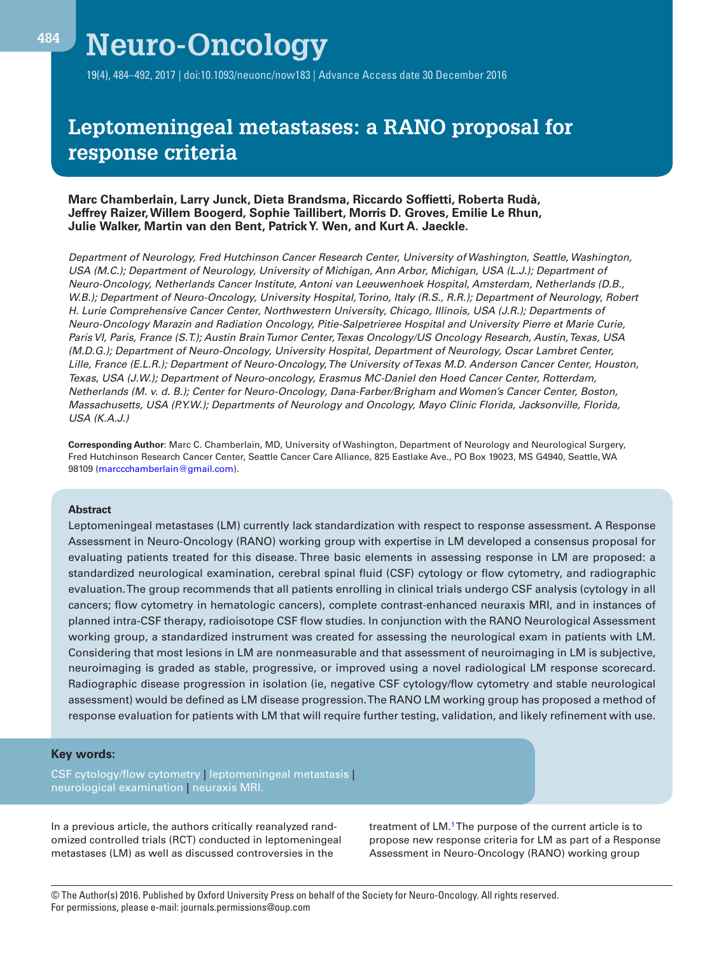# **Neuro-Oncology**

19(4), 484–492, 2017 | doi:10.1093/neuonc/now183 | Advance Access date 30 December 2016

## **Leptomeningeal metastases: a RANO proposal for response criteria**

## **Marc Chamberlain, Larry Junck, Dieta Brandsma, Riccardo Soffietti, Roberta Rudà, Jeffrey Raizer, Willem Boogerd, Sophie Taillibert, Morris D. Groves, Emilie Le Rhun, Julie Walker, Martin van den Bent, Patrick Y. Wen, and Kurt A. Jaeckle.**

*Department of Neurology, Fred Hutchinson Cancer Research Center, University of Washington, Seattle, Washington, USA (M.C.); Department of Neurology, University of Michigan, Ann Arbor, Michigan, USA (L.J.); Department of Neuro-Oncology, Netherlands Cancer Institute, Antoni van Leeuwenhoek Hospital, Amsterdam, Netherlands (D.B., W.B.); Department of Neuro-Oncology, University Hospital, Torino, Italy (R.S., R.R.); Department of Neurology, Robert H. Lurie Comprehensive Cancer Center, Northwestern University, Chicago, Illinois, USA (J.R.); Departments of Neuro-Oncology Marazin and Radiation Oncology, Pitie-Salpetrieree Hospital and University Pierre et Marie Curie, Paris VI, Paris, France (S.T.); Austin Brain Tumor Center, Texas Oncology/US Oncology Research, Austin, Texas, USA (M.D.G.); Department of Neuro-Oncology, University Hospital, Department of Neurology, Oscar Lambret Center, Lille, France (E.L.R.); Department of Neuro-Oncology, The University of Texas M.D. Anderson Cancer Center, Houston, Texas, USA (J.W.); Department of Neuro-oncology, Erasmus MC-Daniel den Hoed Cancer Center, Rotterdam, Netherlands (M. v. d. B.); Center for Neuro-Oncology, Dana-Farber/Brigham and Women's Cancer Center, Boston, Massachusetts, USA (P.Y.W.); Departments of Neurology and Oncology, Mayo Clinic Florida, Jacksonville, Florida, USA (K.A.J.)*

**Corresponding Author**: Marc C. Chamberlain, MD, University of Washington, Department of Neurology and Neurological Surgery, Fred Hutchinson Research Cancer Center, Seattle Cancer Care Alliance, 825 Eastlake Ave., PO Box 19023, MS G4940, Seattle, WA 98109 [\(marccchamberlain@gmail.com\)](mailto:marccchamberlain@gmail.com?subject=).

#### **Abstract**

Leptomeningeal metastases (LM) currently lack standardization with respect to response assessment. A Response Assessment in Neuro-Oncology (RANO) working group with expertise in LM developed a consensus proposal for evaluating patients treated for this disease. Three basic elements in assessing response in LM are proposed: a standardized neurological examination, cerebral spinal fluid (CSF) cytology or flow cytometry, and radiographic evaluation. The group recommends that all patients enrolling in clinical trials undergo CSF analysis (cytology in all cancers; flow cytometry in hematologic cancers), complete contrast-enhanced neuraxis MRI, and in instances of planned intra-CSF therapy, radioisotope CSF flow studies. In conjunction with the RANO Neurological Assessment working group, a standardized instrument was created for assessing the neurological exam in patients with LM. Considering that most lesions in LM are nonmeasurable and that assessment of neuroimaging in LM is subjective, neuroimaging is graded as stable, progressive, or improved using a novel radiological LM response scorecard. Radiographic disease progression in isolation (ie, negative CSF cytology/flow cytometry and stable neurological assessment) would be defined as LM disease progression. The RANO LM working group has proposed a method of response evaluation for patients with LM that will require further testing, validation, and likely refinement with use.

## **Key words:**

CSF cytology/flow cytometry | leptomeningeal metastasis | neurological examination | neuraxis MRI.

In a previous article, the authors critically reanalyzed randomized controlled trials (RCT) conducted in leptomeningeal metastases (LM) as well as discussed controversies in the

treatment of LM.<sup>1</sup> The purpose of the current article is to propose new response criteria for LM as part of a Response Assessment in Neuro-Oncology (RANO) working group

© The Author(s) 2016. Published by Oxford University Press on behalf of the Society for Neuro-Oncology. All rights reserved. For permissions, please e-mail: journals.permissions@oup.com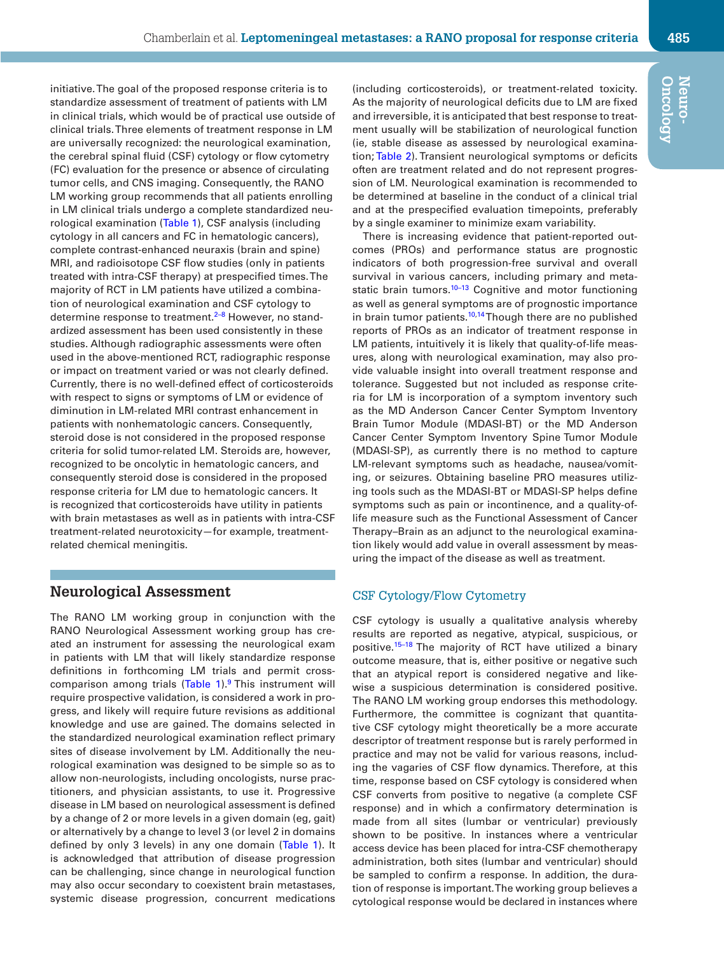initiative. The goal of the proposed response criteria is to standardize assessment of treatment of patients with LM in clinical trials, which would be of practical use outside of clinical trials. Three elements of treatment response in LM are universally recognized: the neurological examination, the cerebral spinal fluid (CSF) cytology or flow cytometry (FC) evaluation for the presence or absence of circulating tumor cells, and CNS imaging. Consequently, the RANO LM working group recommends that all patients enrolling in LM clinical trials undergo a complete standardized neurological examination ([Table 1](#page-2-0)), CSF analysis (including cytology in all cancers and FC in hematologic cancers), complete contrast-enhanced neuraxis (brain and spine) MRI, and radioisotope CSF flow studies (only in patients treated with intra-CSF therapy) at prespecified times. The majority of RCT in LM patients have utilized a combination of neurological examination and CSF cytology to determine response to treatment.<sup>2-8</sup> However, no standardized assessment has been used consistently in these studies. Although radiographic assessments were often used in the above-mentioned RCT, radiographic response or impact on treatment varied or was not clearly defined. Currently, there is no well-defined effect of corticosteroids with respect to signs or symptoms of LM or evidence of diminution in LM-related MRI contrast enhancement in patients with nonhematologic cancers. Consequently, steroid dose is not considered in the proposed response criteria for solid tumor-related LM. Steroids are, however, recognized to be oncolytic in hematologic cancers, and consequently steroid dose is considered in the proposed response criteria for LM due to hematologic cancers. It is recognized that corticosteroids have utility in patients with brain metastases as well as in patients with intra-CSF treatment-related neurotoxicity—for example, treatmentrelated chemical meningitis.

## **Neurological Assessment**

The RANO LM working group in conjunction with the RANO Neurological Assessment working group has created an instrument for assessing the neurological exam in patients with LM that will likely standardize response definitions in forthcoming LM trials and permit crosscomparison among trials  $(Table 1)$ .<sup>9</sup> This instrument will require prospective validation, is considered a work in progress, and likely will require future revisions as additional knowledge and use are gained. The domains selected in the standardized neurological examination reflect primary sites of disease involvement by LM. Additionally the neurological examination was designed to be simple so as to allow non-neurologists, including oncologists, nurse practitioners, and physician assistants, to use it. Progressive disease in LM based on neurological assessment is defined by a change of 2 or more levels in a given domain (eg, gait) or alternatively by a change to level 3 (or level 2 in domains defined by only 3 levels) in any one domain ([Table 1](#page-2-0)). It is acknowledged that attribution of disease progression can be challenging, since change in neurological function may also occur secondary to coexistent brain metastases, systemic disease progression, concurrent medications

(including corticosteroids), or treatment-related toxicity. As the majority of neurological deficits due to LM are fixed and irreversible, it is anticipated that best response to treatment usually will be stabilization of neurological function (ie, stable disease as assessed by neurological examination; [Table 2\)](#page-3-0). Transient neurological symptoms or deficits often are treatment related and do not represent progression of LM. Neurological examination is recommended to be determined at baseline in the conduct of a clinical trial and at the prespecified evaluation timepoints, preferably by a single examiner to minimize exam variability.

There is increasing evidence that patient-reported outcomes (PROs) and performance status are prognostic indicators of both progression-free survival and overall survival in various cancers, including primary and metastatic brain tumors. $10-13$  Cognitive and motor functioning as well as general symptoms are of prognostic importance in brain tumor patients.<sup>[10](#page-7-1),14</sup> Though there are no published reports of PROs as an indicator of treatment response in LM patients, intuitively it is likely that quality-of-life measures, along with neurological examination, may also provide valuable insight into overall treatment response and tolerance. Suggested but not included as response criteria for LM is incorporation of a symptom inventory such as the MD Anderson Cancer Center Symptom Inventory Brain Tumor Module (MDASI-BT) or the MD Anderson Cancer Center Symptom Inventory Spine Tumor Module (MDASI-SP), as currently there is no method to capture LM-relevant symptoms such as headache, nausea/vomiting, or seizures. Obtaining baseline PRO measures utilizing tools such as the MDASI-BT or MDASI-SP helps define symptoms such as pain or incontinence, and a quality-oflife measure such as the Functional Assessment of Cancer Therapy–Brain as an adjunct to the neurological examination likely would add value in overall assessment by measuring the impact of the disease as well as treatment.

## CSF Cytology/Flow Cytometry

CSF cytology is usually a qualitative analysis whereby results are reported as negative, atypical, suspicious, or positive[.15–18](#page-7-3) The majority of RCT have utilized a binary outcome measure, that is, either positive or negative such that an atypical report is considered negative and likewise a suspicious determination is considered positive. The RANO LM working group endorses this methodology. Furthermore, the committee is cognizant that quantitative CSF cytology might theoretically be a more accurate descriptor of treatment response but is rarely performed in practice and may not be valid for various reasons, including the vagaries of CSF flow dynamics. Therefore, at this time, response based on CSF cytology is considered when CSF converts from positive to negative (a complete CSF response) and in which a confirmatory determination is made from all sites (lumbar or ventricular) previously shown to be positive. In instances where a ventricular access device has been placed for intra-CSF chemotherapy administration, both sites (lumbar and ventricular) should be sampled to confirm a response. In addition, the duration of response is important. The working group believes a cytological response would be declared in instances where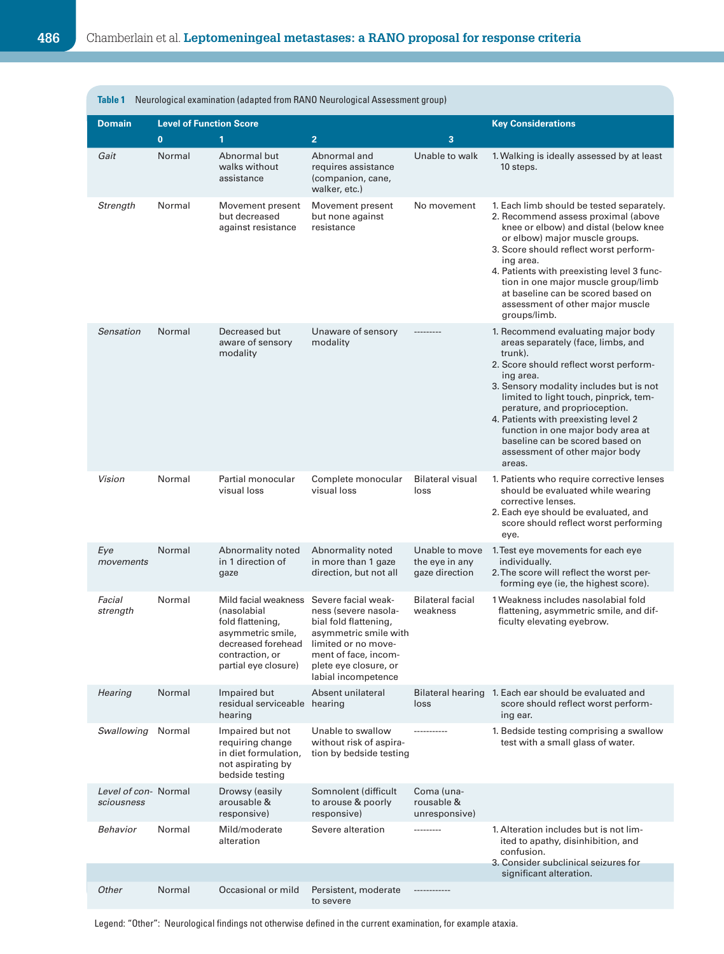<span id="page-2-0"></span>

| Table 1<br>Neurological examination (adapted from RANO Neurological Assessment group) |                                |                                                                                                                                                      |                                                                                                                                                                                              |                                                    |                                                                                                                                                                                                                                                                                                                                                                                                                               |  |  |
|---------------------------------------------------------------------------------------|--------------------------------|------------------------------------------------------------------------------------------------------------------------------------------------------|----------------------------------------------------------------------------------------------------------------------------------------------------------------------------------------------|----------------------------------------------------|-------------------------------------------------------------------------------------------------------------------------------------------------------------------------------------------------------------------------------------------------------------------------------------------------------------------------------------------------------------------------------------------------------------------------------|--|--|
| <b>Domain</b>                                                                         | <b>Level of Function Score</b> |                                                                                                                                                      | <b>Key Considerations</b>                                                                                                                                                                    |                                                    |                                                                                                                                                                                                                                                                                                                                                                                                                               |  |  |
|                                                                                       | $\mathbf{0}$                   | 1                                                                                                                                                    | $\overline{2}$                                                                                                                                                                               | 3                                                  |                                                                                                                                                                                                                                                                                                                                                                                                                               |  |  |
| Gait                                                                                  | Normal                         | Abnormal but<br>walks without<br>assistance                                                                                                          | Abnormal and<br>requires assistance<br>(companion, cane,<br>walker, etc.)                                                                                                                    | Unable to walk                                     | 1. Walking is ideally assessed by at least<br>10 steps.                                                                                                                                                                                                                                                                                                                                                                       |  |  |
| Strength                                                                              | Normal                         | Movement present<br>but decreased<br>against resistance                                                                                              | Movement present<br>but none against<br>resistance                                                                                                                                           | No movement                                        | 1. Each limb should be tested separately.<br>2. Recommend assess proximal (above<br>knee or elbow) and distal (below knee<br>or elbow) major muscle groups.<br>3. Score should reflect worst perform-<br>ing area.<br>4. Patients with preexisting level 3 func-<br>tion in one major muscle group/limb<br>at baseline can be scored based on<br>assessment of other major muscle<br>groups/limb.                             |  |  |
| Sensation                                                                             | Normal                         | Decreased but<br>aware of sensory<br>modality                                                                                                        | Unaware of sensory<br>modality                                                                                                                                                               |                                                    | 1. Recommend evaluating major body<br>areas separately (face, limbs, and<br>trunk).<br>2. Score should reflect worst perform-<br>ing area.<br>3. Sensory modality includes but is not<br>limited to light touch, pinprick, tem-<br>perature, and proprioception.<br>4. Patients with preexisting level 2<br>function in one major body area at<br>baseline can be scored based on<br>assessment of other major body<br>areas. |  |  |
| Vision                                                                                | Normal                         | Partial monocular<br>visual loss                                                                                                                     | Complete monocular<br>visual loss                                                                                                                                                            | <b>Bilateral visual</b><br>loss                    | 1. Patients who require corrective lenses<br>should be evaluated while wearing<br>corrective lenses.<br>2. Each eye should be evaluated, and<br>score should reflect worst performing<br>eye.                                                                                                                                                                                                                                 |  |  |
| Eye<br>movements                                                                      | Normal                         | Abnormality noted<br>in 1 direction of<br>gaze                                                                                                       | Abnormality noted<br>in more than 1 gaze<br>direction, but not all                                                                                                                           | Unable to move<br>the eye in any<br>gaze direction | 1. Test eye movements for each eye<br>individually.<br>2. The score will reflect the worst per-<br>forming eye (ie, the highest score).                                                                                                                                                                                                                                                                                       |  |  |
| Facial<br>strength                                                                    | Normal                         | Mild facial weakness<br><i>(nasolabial</i><br>fold flattening,<br>asymmetric smile,<br>decreased forehead<br>contraction, or<br>partial eye closure) | Severe facial weak-<br>ness (severe nasola-<br>bial fold flattening,<br>asymmetric smile with<br>limited or no move-<br>ment of face, incom-<br>plete eye closure, or<br>labial incompetence | <b>Bilateral facial</b><br>weakness                | 1 Weakness includes nasolabial fold<br>flattening, asymmetric smile, and dif-<br>ficulty elevating eyebrow.                                                                                                                                                                                                                                                                                                                   |  |  |
| Hearing                                                                               | Normal                         | Impaired but<br>residual serviceable hearing<br>hearing                                                                                              | Absent unilateral                                                                                                                                                                            | loss                                               | Bilateral hearing 1. Each ear should be evaluated and<br>score should reflect worst perform-<br>ing ear.                                                                                                                                                                                                                                                                                                                      |  |  |
| Swallowing                                                                            | Normal                         | Impaired but not<br>requiring change<br>in diet formulation,<br>not aspirating by<br>bedside testing                                                 | Unable to swallow<br>without risk of aspira-<br>tion by bedside testing                                                                                                                      | -----------                                        | 1. Bedside testing comprising a swallow<br>test with a small glass of water.                                                                                                                                                                                                                                                                                                                                                  |  |  |
| Level of con-Normal<br>sciousness                                                     |                                | Drowsy (easily<br>arousable &<br>responsive)                                                                                                         | Somnolent (difficult<br>to arouse & poorly<br>responsive)                                                                                                                                    | Coma (una-<br>rousable &<br>unresponsive)          |                                                                                                                                                                                                                                                                                                                                                                                                                               |  |  |
| Behavior                                                                              | Normal                         | Mild/moderate<br>alteration                                                                                                                          | Severe alteration                                                                                                                                                                            |                                                    | 1. Alteration includes but is not lim-<br>ited to apathy, disinhibition, and<br>confusion.<br>3. Consider subclinical seizures for                                                                                                                                                                                                                                                                                            |  |  |
| Other                                                                                 | Normal                         | Occasional or mild                                                                                                                                   | Persistent, moderate                                                                                                                                                                         |                                                    | significant alteration.                                                                                                                                                                                                                                                                                                                                                                                                       |  |  |
|                                                                                       |                                |                                                                                                                                                      | to severe                                                                                                                                                                                    |                                                    |                                                                                                                                                                                                                                                                                                                                                                                                                               |  |  |

Legend: "Other": Neurological findings not otherwise defined in the current examination, for example ataxia.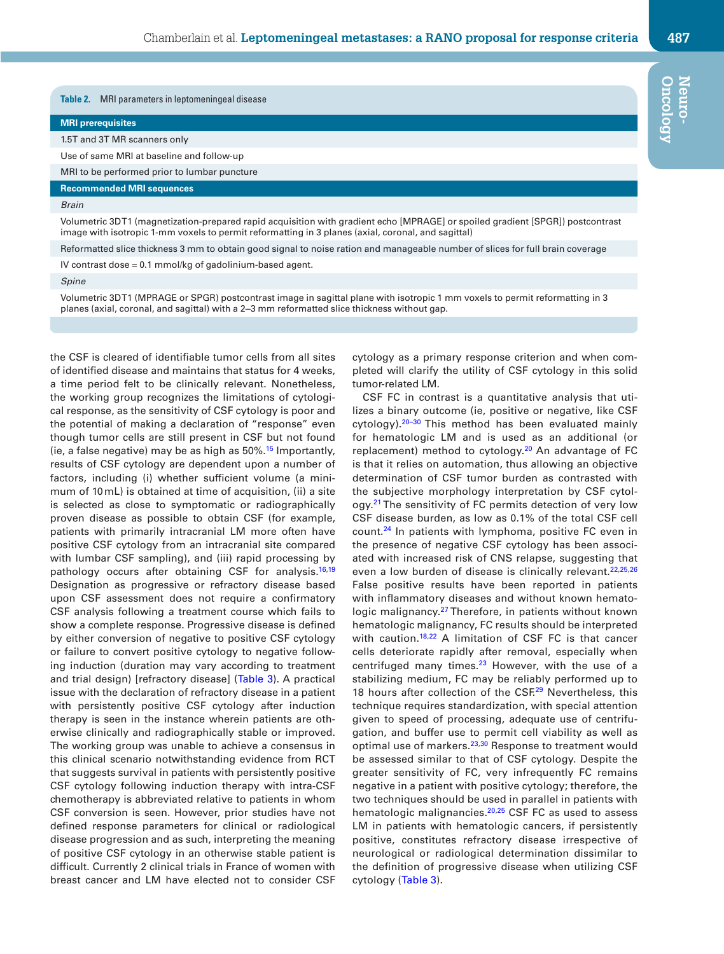<span id="page-3-0"></span>**Table 2.** MRI parameters in leptomeningeal disease

#### **MRI prerequisites**

1.5T and 3T MR scanners only

Use of same MRI at baseline and follow-up

MRI to be performed prior to lumbar puncture

#### **Recommended MRI sequences**

*Brain*

Volumetric 3D T1 (magnetization-prepared rapid acquisition with gradient echo [MPRAGE] or spoiled gradient [SPGR]) postcontrast image with isotropic 1-mm voxels to permit reformatting in 3 planes (axial, coronal, and sagittal)

Reformatted slice thickness 3 mm to obtain good signal to noise ration and manageable number of slices for full brain coverage

IV contrast dose = 0.1 mmol/kg of gadolinium-based agent.

*Spine*

Volumetric 3DT1 (MPRAGE or SPGR) postcontrast image in sagittal plane with isotropic 1 mm voxels to permit reformatting in 3 planes (axial, coronal, and sagittal) with a 2‒3 mm reformatted slice thickness without gap.

the CSF is cleared of identifiable tumor cells from all sites of identified disease and maintains that status for 4 weeks, a time period felt to be clinically relevant. Nonetheless, the working group recognizes the limitations of cytological response, as the sensitivity of CSF cytology is poor and the potential of making a declaration of "response" even though tumor cells are still present in CSF but not found (ie, a false negative) may be as high as  $50\%$ .<sup>15</sup> Importantly, results of CSF cytology are dependent upon a number of factors, including (i) whether sufficient volume (a minimum of 10mL) is obtained at time of acquisition, (ii) a site is selected as close to symptomatic or radiographically proven disease as possible to obtain CSF (for example, patients with primarily intracranial LM more often have positive CSF cytology from an intracranial site compared with lumbar CSF sampling), and (iii) rapid processing by pathology occurs after obtaining CSF for analysis.<sup>16,[19](#page-7-5)</sup> Designation as progressive or refractory disease based upon CSF assessment does not require a confirmatory CSF analysis following a treatment course which fails to show a complete response. Progressive disease is defined by either conversion of negative to positive CSF cytology or failure to convert positive cytology to negative following induction (duration may vary according to treatment and trial design) [refractory disease] [\(Table 3](#page-4-0)). A practical issue with the declaration of refractory disease in a patient with persistently positive CSF cytology after induction therapy is seen in the instance wherein patients are otherwise clinically and radiographically stable or improved. The working group was unable to achieve a consensus in this clinical scenario notwithstanding evidence from RCT that suggests survival in patients with persistently positive CSF cytology following induction therapy with intra-CSF chemotherapy is abbreviated relative to patients in whom CSF conversion is seen. However, prior studies have not defined response parameters for clinical or radiological disease progression and as such, interpreting the meaning of positive CSF cytology in an otherwise stable patient is difficult. Currently 2 clinical trials in France of women with breast cancer and LM have elected not to consider CSF

cytology as a primary response criterion and when completed will clarify the utility of CSF cytology in this solid tumor-related LM.

CSF FC in contrast is a quantitative analysis that utilizes a binary outcome (ie, positive or negative, like CSF cytology).<sup>20-30</sup> This method has been evaluated mainly for hematologic LM and is used as an additional (or replacement) method to cytology.<sup>20</sup> An advantage of FC is that it relies on automation, thus allowing an objective determination of CSF tumor burden as contrasted with the subjective morphology interpretation by CSF cytology.<sup>21</sup> The sensitivity of FC permits detection of very low CSF disease burden, as low as 0.1% of the total CSF cell count.[24](#page-7-8) In patients with lymphoma, positive FC even in the presence of negative CSF cytology has been associated with increased risk of CNS relapse, suggesting that even a low burden of disease is clinically relevant.<sup>[22](#page-7-9),[25](#page-7-10),[26](#page-7-11)</sup> False positive results have been reported in patients with inflammatory diseases and without known hematologic malignancy.<sup>27</sup> Therefore, in patients without known hematologic malignancy, FC results should be interpreted with caution.<sup>18,22</sup> A limitation of CSF FC is that cancer cells deteriorate rapidly after removal, especially when centrifuged many times.<sup>[23](#page-7-14)</sup> However, with the use of a stabilizing medium, FC may be reliably performed up to 18 hours after collection of the CSF.<sup>29</sup> Nevertheless, this technique requires standardization, with special attention given to speed of processing, adequate use of centrifugation, and buffer use to permit cell viability as well as optimal use of markers.<sup>[23](#page-7-14),30</sup> Response to treatment would be assessed similar to that of CSF cytology. Despite the greater sensitivity of FC, very infrequently FC remains negative in a patient with positive cytology; therefore, the two techniques should be used in parallel in patients with hematologic malignancies.<sup>[20](#page-7-6),[25](#page-7-10)</sup> CSF FC as used to assess LM in patients with hematologic cancers, if persistently positive, constitutes refractory disease irrespective of neurological or radiological determination dissimilar to the definition of progressive disease when utilizing CSF cytology [\(Table 3](#page-4-0)).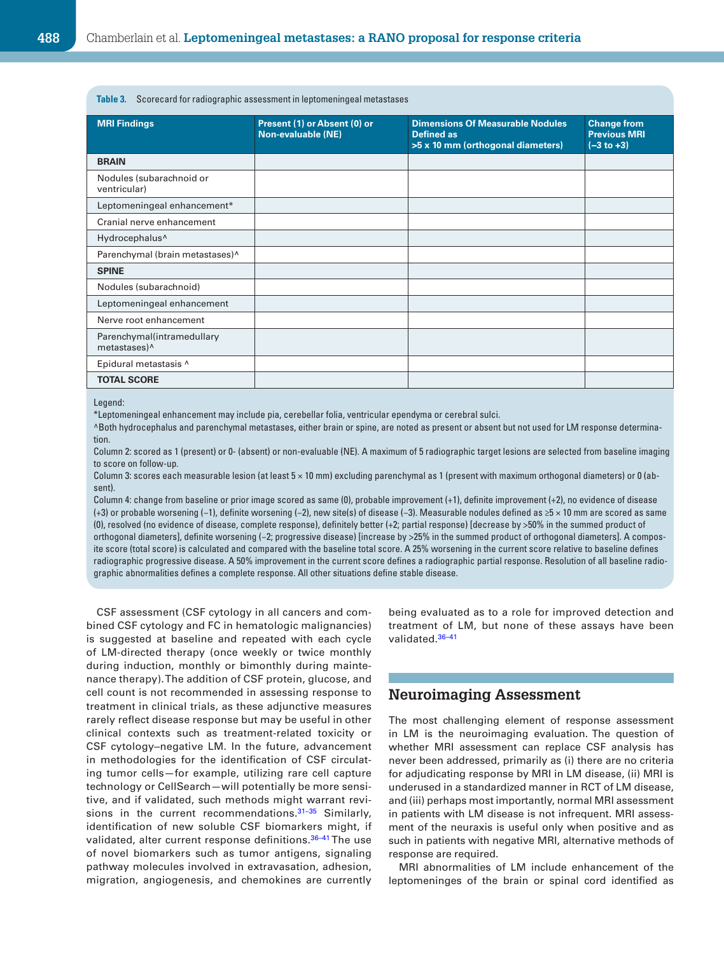<span id="page-4-0"></span>**Table 3.** Scorecard for radiographic assessment in leptomeningeal metastases

| <b>MRI Findings</b>                                    | Present (1) or Absent (0) or<br>Non-evaluable (NE) | <b>Dimensions Of Measurable Nodules</b><br><b>Defined as</b><br>>5 x 10 mm (orthogonal diameters) | <b>Change from</b><br><b>Previous MRI</b><br>$(-3 to +3)$ |
|--------------------------------------------------------|----------------------------------------------------|---------------------------------------------------------------------------------------------------|-----------------------------------------------------------|
| <b>BRAIN</b>                                           |                                                    |                                                                                                   |                                                           |
| Nodules (subarachnoid or<br>ventricular)               |                                                    |                                                                                                   |                                                           |
| Leptomeningeal enhancement*                            |                                                    |                                                                                                   |                                                           |
| Cranial nerve enhancement                              |                                                    |                                                                                                   |                                                           |
| Hydrocephalus <sup>^</sup>                             |                                                    |                                                                                                   |                                                           |
| Parenchymal (brain metastases)^                        |                                                    |                                                                                                   |                                                           |
| <b>SPINE</b>                                           |                                                    |                                                                                                   |                                                           |
| Nodules (subarachnoid)                                 |                                                    |                                                                                                   |                                                           |
| Leptomeningeal enhancement                             |                                                    |                                                                                                   |                                                           |
| Nerve root enhancement                                 |                                                    |                                                                                                   |                                                           |
| Parenchymal(intramedullary<br>metastases) <sup>^</sup> |                                                    |                                                                                                   |                                                           |
| Epidural metastasis ^                                  |                                                    |                                                                                                   |                                                           |
| <b>TOTAL SCORE</b>                                     |                                                    |                                                                                                   |                                                           |

Legend:

\*Leptomeningeal enhancement may include pia, cerebellar folia, ventricular ependyma or cerebral sulci.

^Both hydrocephalus and parenchymal metastases, either brain or spine, are noted as present or absent but not used for LM response determination.

Column 2: scored as 1 (present) or 0- (absent) or non-evaluable (NE). A maximum of 5 radiographic target lesions are selected from baseline imaging to score on follow-up.

Column 3: scores each measurable lesion (at least 5 × 10 mm) excluding parenchymal as 1 (present with maximum orthogonal diameters) or 0 (absent).

Column 4: change from baseline or prior image scored as same (0), probable improvement (+1), definite improvement (+2), no evidence of disease (+3) or probable worsening (−1), definite worsening (−2), new site(s) of disease (−3). Measurable nodules defined as ≥5 × 10 mm are scored as same (0), resolved (no evidence of disease, complete response), definitely better (+2; partial response) [decrease by >50% in the summed product of orthogonal diameters], definite worsening (−2; progressive disease) [increase by >25% in the summed product of orthogonal diameters]. A composite score (total score) is calculated and compared with the baseline total score. A 25% worsening in the current score relative to baseline defines radiographic progressive disease. A 50% improvement in the current score defines a radiographic partial response. Resolution of all baseline radiographic abnormalities defines a complete response. All other situations define stable disease.

CSF assessment (CSF cytology in all cancers and combined CSF cytology and FC in hematologic malignancies) is suggested at baseline and repeated with each cycle of LM-directed therapy (once weekly or twice monthly during induction, monthly or bimonthly during maintenance therapy). The addition of CSF protein, glucose, and cell count is not recommended in assessing response to treatment in clinical trials, as these adjunctive measures rarely reflect disease response but may be useful in other clinical contexts such as treatment-related toxicity or CSF cytology-negative LM. In the future, advancement in methodologies for the identification of CSF circulating tumor cells—for example, utilizing rare cell capture technology or CellSearch—will potentially be more sensitive, and if validated, such methods might warrant revisions in the current recommendations.<sup>31-35</sup> Similarly, identification of new soluble CSF biomarkers might, if validated, alter current response definitions.<sup>36-41</sup> The use of novel biomarkers such as tumor antigens, signaling pathway molecules involved in extravasation, adhesion, migration, angiogenesis, and chemokines are currently being evaluated as to a role for improved detection and treatment of LM, but none of these assays have been validated.<sup>36-41</sup>

## **Neuroimaging Assessment**

The most challenging element of response assessment in LM is the neuroimaging evaluation. The question of whether MRI assessment can replace CSF analysis has never been addressed, primarily as (i) there are no criteria for adjudicating response by MRI in LM disease, (ii) MRI is underused in a standardized manner in RCT of LM disease, and (iii) perhaps most importantly, normal MRI assessment in patients with LM disease is not infrequent. MRI assessment of the neuraxis is useful only when positive and as such in patients with negative MRI, alternative methods of response are required.

MRI abnormalities of LM include enhancement of the leptomeninges of the brain or spinal cord identified as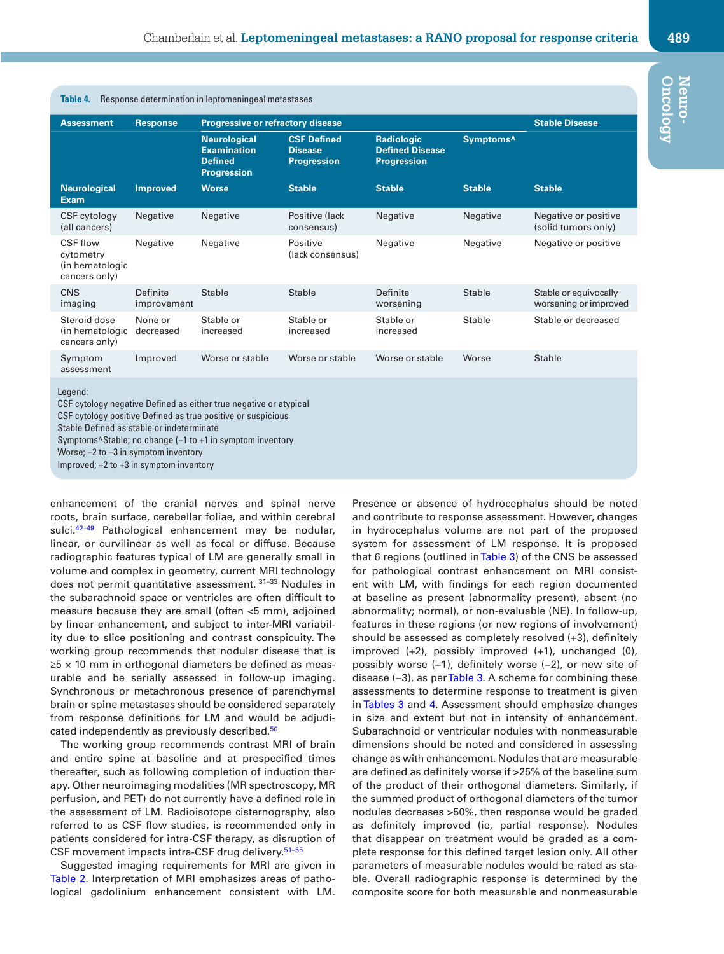<span id="page-5-0"></span>

| <b>Table 4.</b> Response determination in leptomeningeal metastases                                                                                                                                                                                                                                                                                            |                         |                                                                                   |                                                            |                                                                   |                       |                                                |  |  |  |
|----------------------------------------------------------------------------------------------------------------------------------------------------------------------------------------------------------------------------------------------------------------------------------------------------------------------------------------------------------------|-------------------------|-----------------------------------------------------------------------------------|------------------------------------------------------------|-------------------------------------------------------------------|-----------------------|------------------------------------------------|--|--|--|
| <b>Assessment</b>                                                                                                                                                                                                                                                                                                                                              | <b>Response</b>         | <b>Progressive or refractory disease</b>                                          | <b>Stable Disease</b>                                      |                                                                   |                       |                                                |  |  |  |
|                                                                                                                                                                                                                                                                                                                                                                |                         | <b>Neurological</b><br><b>Examination</b><br><b>Defined</b><br><b>Progression</b> | <b>CSF Defined</b><br><b>Disease</b><br><b>Progression</b> | <b>Radiologic</b><br><b>Defined Disease</b><br><b>Progression</b> | Symptoms <sup>^</sup> |                                                |  |  |  |
| <b>Neurological</b><br><b>Exam</b>                                                                                                                                                                                                                                                                                                                             | <b>Improved</b>         | <b>Worse</b>                                                                      | <b>Stable</b>                                              | <b>Stable</b>                                                     | <b>Stable</b>         | <b>Stable</b>                                  |  |  |  |
| CSF cytology<br>(all cancers)                                                                                                                                                                                                                                                                                                                                  | Negative                | Negative                                                                          | Positive (lack<br>consensus)                               | Negative                                                          | Negative              | Negative or positive<br>(solid tumors only)    |  |  |  |
| <b>CSF flow</b><br>cytometry<br>(in hematologic<br>cancers only)                                                                                                                                                                                                                                                                                               | Negative                | Negative                                                                          | Positive<br>(lack consensus)                               | Negative                                                          | Negative              | Negative or positive                           |  |  |  |
| CNS<br>imaging                                                                                                                                                                                                                                                                                                                                                 | Definite<br>improvement | Stable                                                                            | <b>Stable</b>                                              | Definite<br>worsening                                             | <b>Stable</b>         | Stable or equivocally<br>worsening or improved |  |  |  |
| Steroid dose<br>(in hematologic<br>cancers only)                                                                                                                                                                                                                                                                                                               | None or<br>decreased    | Stable or<br>increased                                                            | Stable or<br>increased                                     | Stable or<br>increased                                            | Stable                | Stable or decreased                            |  |  |  |
| Symptom<br>assessment                                                                                                                                                                                                                                                                                                                                          | Improved                | Worse or stable                                                                   | Worse or stable                                            | Worse or stable                                                   | Worse                 | Stable                                         |  |  |  |
| Legend:<br>CSF cytology negative Defined as either true negative or atypical<br>CSF cytology positive Defined as true positive or suspicious<br>Stable Defined as stable or indeterminate<br>Symptoms <sup>^</sup> Stable; no change (-1 to +1 in symptom inventory<br>Worse; $-2$ to $-3$ in symptom inventory<br>Improved; $+2$ to $+3$ in symptom inventory |                         |                                                                                   |                                                            |                                                                   |                       |                                                |  |  |  |

enhancement of the cranial nerves and spinal nerve roots, brain surface, cerebellar foliae, and within cerebral sulci.<sup>[42–49](#page-7-19)</sup> Pathological enhancement may be nodular, linear, or curvilinear as well as focal or diffuse. Because radiographic features typical of LM are generally small in volume and complex in geometry, current MRI technology does not permit quantitative assessment. 31–33 Nodules in the subarachnoid space or ventricles are often difficult to measure because they are small (often <5 mm), adjoined by linear enhancement, and subject to inter-MRI variability due to slice positioning and contrast conspicuity. The working group recommends that nodular disease that is  $\ge$ 5 × 10 mm in orthogonal diameters be defined as measurable and be serially assessed in follow-up imaging. Synchronous or metachronous presence of parenchymal brain or spine metastases should be considered separately from response definitions for LM and would be adjudi-cated independently as previously described.<sup>[50](#page-8-0)</sup>

The working group recommends contrast MRI of brain and entire spine at baseline and at prespecified times thereafter, such as following completion of induction therapy. Other neuroimaging modalities (MR spectroscopy, MR perfusion, and PET) do not currently have a defined role in the assessment of LM. Radioisotope cisternography, also referred to as CSF flow studies, is recommended only in patients considered for intra-CSF therapy, as disruption of CSF movement impacts intra-CSF drug delivery.<sup>51-55</sup>

Suggested imaging requirements for MRI are given in [Table 2](#page-3-0). Interpretation of MRI emphasizes areas of pathological gadolinium enhancement consistent with LM. Presence or absence of hydrocephalus should be noted and contribute to response assessment. However, changes in hydrocephalus volume are not part of the proposed system for assessment of LM response. It is proposed that 6 regions (outlined in [Table 3\)](#page-4-0) of the CNS be assessed for pathological contrast enhancement on MRI consistent with LM, with findings for each region documented at baseline as present (abnormality present), absent (no abnormality; normal), or non-evaluable (NE). In follow-up, features in these regions (or new regions of involvement) should be assessed as completely resolved (+3), definitely improved (+2), possibly improved (+1), unchanged (0), possibly worse (−1), definitely worse (−2), or new site of disease (−3), as per [Table 3](#page-4-0). A scheme for combining these assessments to determine response to treatment is given in [Tables 3](#page-4-0) and [4](#page-5-0). Assessment should emphasize changes in size and extent but not in intensity of enhancement. Subarachnoid or ventricular nodules with nonmeasurable dimensions should be noted and considered in assessing change as with enhancement. Nodules that are measurable are defined as definitely worse if >25% of the baseline sum of the product of their orthogonal diameters. Similarly, if the summed product of orthogonal diameters of the tumor nodules decreases >50%, then response would be graded as definitely improved (ie, partial response). Nodules that disappear on treatment would be graded as a complete response for this defined target lesion only. All other parameters of measurable nodules would be rated as stable. Overall radiographic response is determined by the composite score for both measurable and nonmeasurable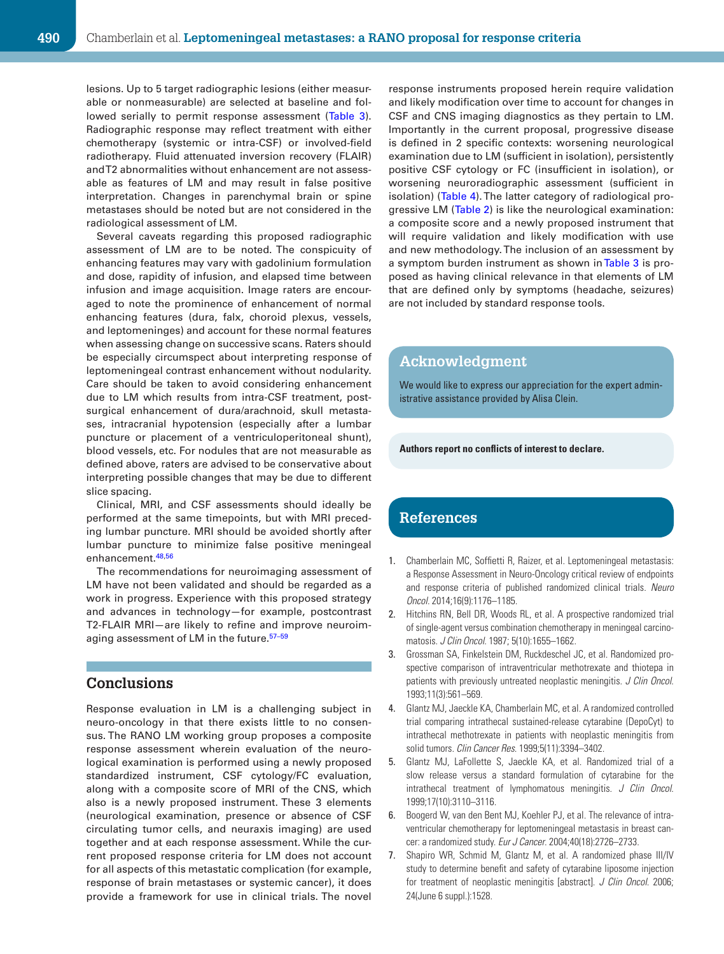lesions. Up to 5 target radiographic lesions (either measurable or nonmeasurable) are selected at baseline and followed serially to permit response assessment (Table 3). Radiographic response may reflect treatment with either chemotherapy (systemic or intra-CSF) or involved-field radiotherapy. Fluid attenuated inversion recovery (FLAIR) and T2 abnormalities without enhancement are not assessable as features of LM and may result in false positive interpretation. Changes in parenchymal brain or spine metastases should be noted but are not considered in the radiological assessment of LM.

Several caveats regarding this proposed radiographic assessment of LM are to be noted. The conspicuity of enhancing features may vary with gadolinium formulation and dose, rapidity of infusion, and elapsed time between infusion and image acquisition. Image raters are encouraged to note the prominence of enhancement of normal enhancing features (dura, falx, choroid plexus, vessels, and leptomeninges) and account for these normal features when assessing change on successive scans. Raters should be especially circumspect about interpreting response of leptomeningeal contrast enhancement without nodularity. Care should be taken to avoid considering enhancement due to LM which results from intra-CSF treatment, postsurgical enhancement of dura/arachnoid, skull metastases, intracranial hypotension (especially after a lumbar puncture or placement of a ventriculoperitoneal shunt), blood vessels, etc. For nodules that are not measurable as defined above, raters are advised to be conservative about interpreting possible changes that may be due to different slice spacing.

Clinical, MRI, and CSF assessments should ideally be performed at the same timepoints, but with MRI preceding lumbar puncture. MRI should be avoided shortly after lumbar puncture to minimize false positive meningeal enhancement.<sup>[48](#page-8-2),[56](#page-8-3)</sup>

The recommendations for neuroimaging assessment of LM have not been validated and should be regarded as a work in progress. Experience with this proposed strategy and advances in technology—for example, postcontrast T2-FLAIR MRI—are likely to refine and improve neuroimaging assessment of LM in the future.<sup>57-59</sup>

## **Conclusions**

Response evaluation in LM is a challenging subject in neuro-oncology in that there exists little to no consensus. The RANO LM working group proposes a composite response assessment wherein evaluation of the neurological examination is performed using a newly proposed standardized instrument, CSF cytology/FC evaluation, along with a composite score of MRI of the CNS, which also is a newly proposed instrument. These 3 elements (neurological examination, presence or absence of CSF circulating tumor cells, and neuraxis imaging) are used together and at each response assessment. While the current proposed response criteria for LM does not account for all aspects of this metastatic complication (for example, response of brain metastases or systemic cancer), it does provide a framework for use in clinical trials. The novel response instruments proposed herein require validation and likely modification over time to account for changes in CSF and CNS imaging diagnostics as they pertain to LM. Importantly in the current proposal, progressive disease is defined in 2 specific contexts: worsening neurological examination due to LM (sufficient in isolation), persistently positive CSF cytology or FC (insufficient in isolation), or worsening neuroradiographic assessment (sufficient in isolation) ([Table 4](#page-5-0)). The latter category of radiological progressive LM [\(Table 2\)](#page-3-0) is like the neurological examination: a composite score and a newly proposed instrument that will require validation and likely modification with use and new methodology. The inclusion of an assessment by a symptom burden instrument as shown in [Table 3](#page-4-0) is proposed as having clinical relevance in that elements of LM that are defined only by symptoms (headache, seizures) are not included by standard response tools.

## **Acknowledgment**

We would like to express our appreciation for the expert administrative assistance provided by Alisa Clein.

#### **Authors report no conflicts of interest to declare.**

## **References**

- <span id="page-6-0"></span>1. Chamberlain MC, Soffietti R, Raizer, et al. Leptomeningeal metastasis: a Response Assessment in Neuro-Oncology critical review of endpoints and response criteria of published randomized clinical trials. *Neuro Oncol*. 2014;16(9):1176–1185.
- <span id="page-6-1"></span>2. Hitchins RN, Bell DR, Woods RL, et al. A prospective randomized trial of single-agent versus combination chemotherapy in meningeal carcinomatosis. *J Clin Oncol*. 1987; 5(10):1655–1662.
- 3. Grossman SA, Finkelstein DM, Ruckdeschel JC, et al. Randomized prospective comparison of intraventricular methotrexate and thiotepa in patients with previously untreated neoplastic meningitis. *J Clin Oncol*. 1993;11(3):561–569.
- 4. Glantz MJ, Jaeckle KA, Chamberlain MC, et al. A randomized controlled trial comparing intrathecal sustained-release cytarabine (DepoCyt) to intrathecal methotrexate in patients with neoplastic meningitis from solid tumors. *Clin Cancer Res*. 1999;5(11):3394–3402.
- 5. Glantz MJ, LaFollette S, Jaeckle KA, et al. Randomized trial of a slow release versus a standard formulation of cytarabine for the intrathecal treatment of lymphomatous meningitis. *J Clin Oncol*. 1999;17(10):3110–3116.
- 6. Boogerd W, van den Bent MJ, Koehler PJ, et al. The relevance of intraventricular chemotherapy for leptomeningeal metastasis in breast cancer: a randomized study. *Eur J Cancer*. 2004;40(18):2726–2733.
- 7. Shapiro WR, Schmid M, Glantz M, et al. A randomized phase III/IV study to determine benefit and safety of cytarabine liposome injection for treatment of neoplastic meningitis [abstract]. *J Clin Oncol*. 2006; 24(June 6 suppl.):1528.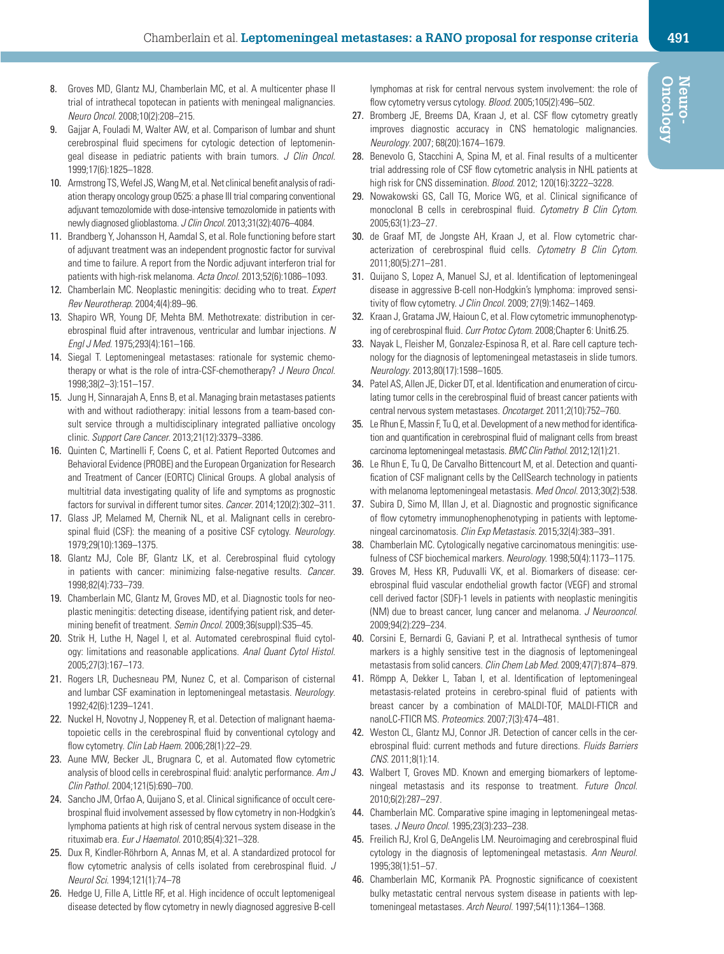- 8. Groves MD, Glantz MJ, Chamberlain MC, et al. A multicenter phase II trial of intrathecal topotecan in patients with meningeal malignancies. *Neuro Oncol*. 2008;10(2):208–215.
- <span id="page-7-0"></span>9. Gajjar A, Fouladi M, Walter AW, et al. Comparison of lumbar and shunt cerebrospinal fluid specimens for cytologic detection of leptomeningeal disease in pediatric patients with brain tumors. *J Clin Oncol*. 1999;17(6):1825–1828.
- <span id="page-7-1"></span>10. Armstrong TS, Wefel JS, Wang M, et al. Net clinical benefit analysis of radiation therapy oncology group 0525: a phase III trial comparing conventional adjuvant temozolomide with dose-intensive temozolomide in patients with newly diagnosed glioblastoma. *J Clin Oncol*. 2013;31(32):4076–4084.
- 11. Brandberg Y, Johansson H, Aamdal S, et al. Role functioning before start of adjuvant treatment was an independent prognostic factor for survival and time to failure. A report from the Nordic adjuvant interferon trial for patients with high-risk melanoma. *Acta Oncol*. 2013;52(6):1086–1093.
- 12. Chamberlain MC. Neoplastic meningitis: deciding who to treat. *Expert Rev Neurotherap*. 2004;4(4):89–96.
- 13. Shapiro WR, Young DF, Mehta BM. Methotrexate: distribution in cerebrospinal fluid after intravenous, ventricular and lumbar injections. *N Engl J Med*. 1975;293(4):161–166.
- <span id="page-7-2"></span>14. Siegal T. Leptomeningeal metastases: rationale for systemic chemotherapy or what is the role of intra-CSF-chemotherapy? *J Neuro Oncol*. 1998;38(2–3):151–157.
- <span id="page-7-3"></span>15. Jung H, Sinnarajah A, Enns B, et al. Managing brain metastases patients with and without radiotherapy: initial lessons from a team-based consult service through a multidisciplinary integrated palliative oncology clinic. *Support Care Cancer*. 2013;21(12):3379–3386.
- <span id="page-7-4"></span>16. Quinten C, Martinelli F, Coens C, et al. Patient Reported Outcomes and Behavioral Evidence (PROBE) and the European Organization for Research and Treatment of Cancer (EORTC) Clinical Groups. A global analysis of multitrial data investigating quality of life and symptoms as prognostic factors for survival in different tumor sites. *Cancer*. 2014;120(2):302–311.
- 17. Glass JP, Melamed M, Chernik NL, et al. Malignant cells in cerebrospinal fluid (CSF): the meaning of a positive CSF cytology. *Neurology*. 1979;29(10):1369–1375.
- <span id="page-7-13"></span>18. Glantz MJ, Cole BF, Glantz LK, et al. Cerebrospinal fluid cytology in patients with cancer: minimizing false-negative results. *Cancer*. 1998;82(4):733–739.
- <span id="page-7-5"></span>19. Chamberlain MC, Glantz M, Groves MD, et al. Diagnostic tools for neoplastic meningitis: detecting disease, identifying patient risk, and determining benefit of treatment. *Semin Oncol*. 2009;36(suppl):S35–45.
- <span id="page-7-6"></span>20. Strik H, Luthe H, Nagel I, et al. Automated cerebrospinal fluid cytology: limitations and reasonable applications. *Anal Quant Cytol Histol*. 2005;27(3):167–173.
- <span id="page-7-7"></span>21. Rogers LR, Duchesneau PM, Nunez C, et al. Comparison of cisternal and lumbar CSF examination in leptomeningeal metastasis. *Neurology*. 1992;42(6):1239–1241.
- <span id="page-7-9"></span>22. Nuckel H, Novotny J, Noppeney R, et al. Detection of malignant haematopoietic cells in the cerebrospinal fluid by conventional cytology and flow cytometry. *Clin Lab Haem*. 2006;28(1):22–29.
- <span id="page-7-14"></span>23. Aune MW, Becker JL, Brugnara C, et al. Automated flow cytometric analysis of blood cells in cerebrospinal fluid: analytic performance. *Am J Clin Pathol*. 2004;121(5):690–700.
- <span id="page-7-8"></span>24. Sancho JM, Orfao A, Quijano S, et al. Clinical significance of occult cerebrospinal fluid involvement assessed by flow cytometry in non-Hodgkin's lymphoma patients at high risk of central nervous system disease in the rituximab era. *Eur J Haematol*. 2010;85(4):321–328.
- <span id="page-7-10"></span>25. Dux R, Kindler-Röhrborn A, Annas M, et al. A standardized protocol for flow cytometric analysis of cells isolated from cerebrospinal fluid. *J Neurol Sci*. 1994;121(1):74–78
- <span id="page-7-11"></span>26. Hedge U, Fille A, Little RF, et al. High incidence of occult leptomenigeal disease detected by flow cytometry in newly diagnosed aggresive B-cell

lymphomas at risk for central nervous system involvement: the role of flow cytometry versus cytology. *Blood*. 2005;105(2):496–502.

- <span id="page-7-12"></span>27. Bromberg JE, Breems DA, Kraan J, et al. CSF flow cytometry greatly improves diagnostic accuracy in CNS hematologic malignancies. *Neurology*. 2007; 68(20):1674–1679.
- 28. Benevolo G, Stacchini A, Spina M, et al. Final results of a multicenter trial addressing role of CSF flow cytometric analysis in NHL patients at high risk for CNS dissemination. *Blood*. 2012; 120(16):3222–3228.
- <span id="page-7-15"></span>29. Nowakowski GS, Call TG, Morice WG, et al. Clinical significance of monoclonal B cells in cerebrospinal fluid. *Cytometry B Clin Cytom*. 2005;63(1):23–27.
- <span id="page-7-16"></span>30. de Graaf MT, de Jongste AH, Kraan J, et al. Flow cytometric characterization of cerebrospinal fluid cells. *Cytometry B Clin Cytom*. 2011;80(5):271–281.
- <span id="page-7-17"></span>31. Quijano S, Lopez A, Manuel SJ, et al. Identification of leptomeningeal disease in aggressive B-cell non-Hodgkin's lymphoma: improved sensitivity of flow cytometry. *J Clin Oncol*. 2009; 27(9):1462–1469.
- 32. Kraan J, Gratama JW, Haioun C, et al. Flow cytometric immunophenotyping of cerebrospinal fluid. *Curr Protoc Cytom*. 2008;Chapter 6: Unit6.25.
- 33. Nayak L, Fleisher M, Gonzalez-Espinosa R, et al. Rare cell capture technology for the diagnosis of leptomeningeal metastaseis in slide tumors. *Neurology*. 2013;80(17):1598–1605.
- 34. Patel AS, Allen JE, Dicker DT, et al. Identification and enumeration of circulating tumor cells in the cerebrospinal fluid of breast cancer patients with central nervous system metastases. *Oncotarget*. 2011;2(10):752–760.
- 35. Le Rhun E, Massin F, Tu Q, et al. Development of a new method for identification and quantification in cerebrospinal fluid of malignant cells from breast carcinoma leptomeningeal metastasis. *BMC Clin Pathol*. 2012;12(1):21.
- <span id="page-7-18"></span>36. Le Rhun E, Tu Q, De Carvalho Bittencourt M, et al. Detection and quantification of CSF malignant cells by the CellSearch technology in patients with melanoma leptomeningeal metastasis. *Med Oncol*. 2013;30(2):538.
- 37. Subira D, Simo M, Illan J, et al. Diagnostic and prognostic significance of flow cytometry immunophenophenotyping in patients with leptomeningeal carcinomatosis. *Clin Exp Metastasis*. 2015;32(4):383–391.
- 38. Chamberlain MC. Cytologically negative carcinomatous meningitis: usefulness of CSF biochemical markers. *Neurology*. 1998;50(4):1173–1175.
- 39. Groves M, Hess KR, Puduvalli VK, et al. Biomarkers of disease: cerebrospinal fluid vascular endothelial growth factor (VEGF) and stromal cell derived factor (SDF)-1 levels in patients with neoplastic meningitis (NM) due to breast cancer, lung cancer and melanoma. *J Neurooncol*. 2009;94(2):229–234.
- 40. Corsini E, Bernardi G, Gaviani P, et al. Intrathecal synthesis of tumor markers is a highly sensitive test in the diagnosis of leptomeningeal metastasis from solid cancers. *Clin Chem Lab Med*. 2009;47(7):874–879.
- 41. Römpp A, Dekker L, Taban I, et al. Identification of leptomeningeal metastasis-related proteins in cerebro-spinal fluid of patients with breast cancer by a combination of MALDI-TOF, MALDI-FTICR and nanoLC-FTICR MS. *Proteomics*. 2007;7(3):474–481.
- <span id="page-7-19"></span>42. Weston CL, Glantz MJ, Connor JR. Detection of cancer cells in the cerebrospinal fluid: current methods and future directions. *Fluids Barriers CNS*. 2011;8(1):14.
- 43. Walbert T, Groves MD. Known and emerging biomarkers of leptomeningeal metastasis and its response to treatment. *Future Oncol*. 2010;6(2):287–297.
- 44. Chamberlain MC. Comparative spine imaging in leptomeningeal metastases. *J Neuro Oncol*. 1995;23(3):233–238.
- 45. Freilich RJ, Krol G, DeAngelis LM. Neuroimaging and cerebrospinal fluid cytology in the diagnosis of leptomeningeal metastasis. *Ann Neurol*. 1995;38(1):51–57.
- 46. Chamberlain MC, Kormanik PA. Prognostic significance of coexistent bulky metastatic central nervous system disease in patients with leptomeningeal metastases. *Arch Neurol*. 1997;54(11):1364–1368.